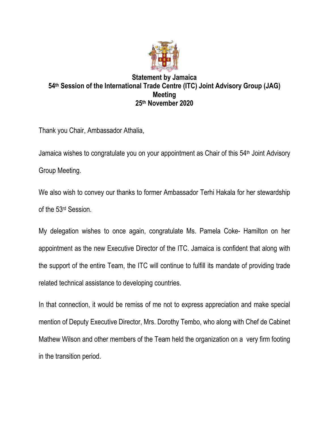

## **Statement by Jamaica 54th Session of the International Trade Centre (ITC) Joint Advisory Group (JAG) Meeting 25th November 2020**

Thank you Chair, Ambassador Athalia,

Jamaica wishes to congratulate you on your appointment as Chair of this 54<sup>th</sup> Joint Advisory Group Meeting.

We also wish to convey our thanks to former Ambassador Terhi Hakala for her stewardship of the 53rd Session.

My delegation wishes to once again, congratulate Ms. Pamela Coke- Hamilton on her appointment as the new Executive Director of the ITC. Jamaica is confident that along with the support of the entire Team, the ITC will continue to fulfill its mandate of providing trade related technical assistance to developing countries.

In that connection, it would be remiss of me not to express appreciation and make special mention of Deputy Executive Director, Mrs. Dorothy Tembo, who along with Chef de Cabinet Mathew Wilson and other members of the Team held the organization on a very firm footing in the transition period.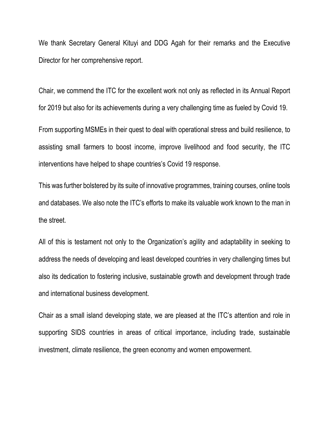We thank Secretary General Kituyi and DDG Agah for their remarks and the Executive Director for her comprehensive report.

Chair, we commend the ITC for the excellent work not only as reflected in its Annual Report for 2019 but also for its achievements during a very challenging time as fueled by Covid 19.

From supporting MSMEs in their quest to deal with operational stress and build resilience, to assisting small farmers to boost income, improve livelihood and food security, the ITC interventions have helped to shape countries's Covid 19 response.

This was further bolstered by its suite of innovative programmes, training courses, online tools and databases. We also note the ITC's efforts to make its valuable work known to the man in the street.

All of this is testament not only to the Organization's agility and adaptability in seeking to address the needs of developing and least developed countries in very challenging times but also its dedication to fostering inclusive, sustainable growth and development through trade and international business development.

Chair as a small island developing state, we are pleased at the ITC's attention and role in supporting SIDS countries in areas of critical importance, including trade, sustainable investment, climate resilience, the green economy and women empowerment.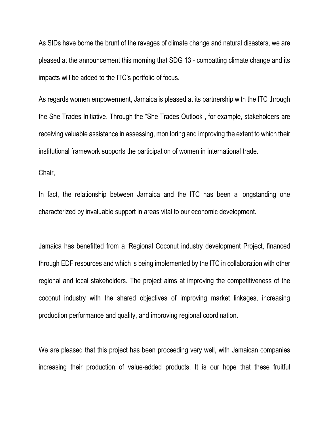As SIDs have borne the brunt of the ravages of climate change and natural disasters, we are pleased at the announcement this morning that SDG 13 - combatting climate change and its impacts will be added to the ITC's portfolio of focus.

As regards women empowerment, Jamaica is pleased at its partnership with the ITC through the She Trades Initiative. Through the "She Trades Outlook", for example, stakeholders are receiving valuable assistance in assessing, monitoring and improving the extent to which their institutional framework supports the participation of women in international trade.

Chair,

In fact, the relationship between Jamaica and the ITC has been a longstanding one characterized by invaluable support in areas vital to our economic development.

Jamaica has benefitted from a 'Regional Coconut industry development Project, financed through EDF resources and which is being implemented by the ITC in collaboration with other regional and local stakeholders. The project aims at improving the competitiveness of the coconut industry with the shared objectives of improving market linkages, increasing production performance and quality, and improving regional coordination.

We are pleased that this project has been proceeding very well, with Jamaican companies increasing their production of value-added products. It is our hope that these fruitful